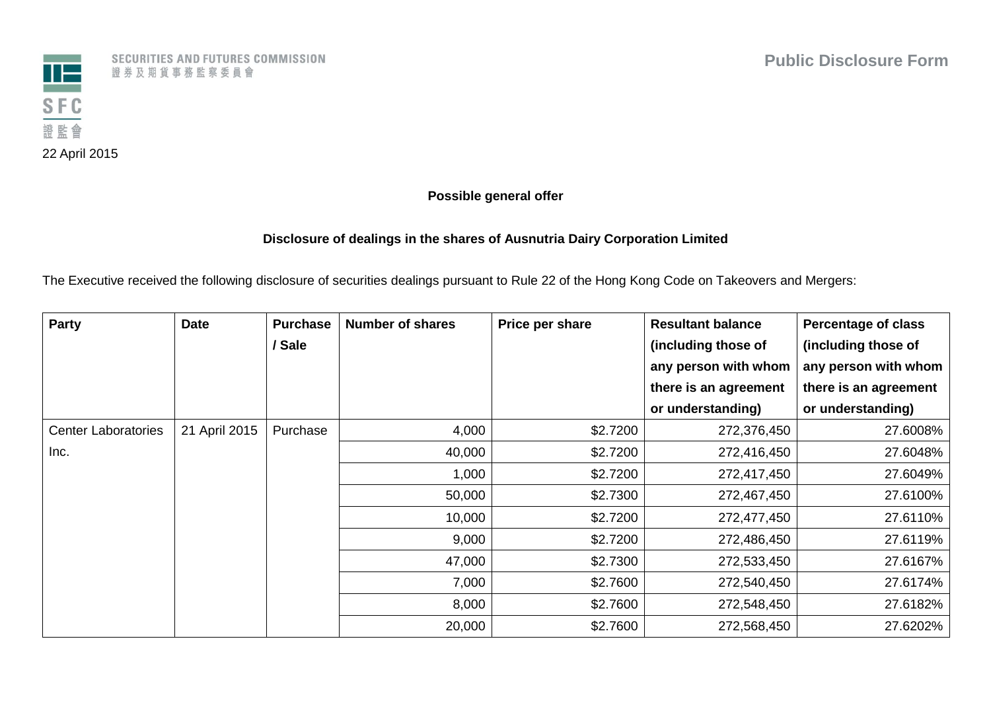

SECURITIES AND FUTURES COMMISSION 證券及期貨事務監察委員會

## **Possible general offer**

## **Disclosure of dealings in the shares of Ausnutria Dairy Corporation Limited**

The Executive received the following disclosure of securities dealings pursuant to Rule 22 of the Hong Kong Code on Takeovers and Mergers:

| Party                      | <b>Date</b>   | <b>Purchase</b> | <b>Number of shares</b> | Price per share | <b>Resultant balance</b> | <b>Percentage of class</b> |
|----------------------------|---------------|-----------------|-------------------------|-----------------|--------------------------|----------------------------|
|                            |               | / Sale          |                         |                 | (including those of      | (including those of        |
|                            |               |                 |                         |                 | any person with whom     | any person with whom       |
|                            |               |                 |                         |                 | there is an agreement    | there is an agreement      |
|                            |               |                 |                         |                 | or understanding)        | or understanding)          |
| <b>Center Laboratories</b> | 21 April 2015 | Purchase        | 4,000                   | \$2.7200        | 272,376,450              | 27.6008%                   |
| Inc.                       |               |                 | 40,000                  | \$2.7200        | 272,416,450              | 27.6048%                   |
|                            |               |                 | 1,000                   | \$2.7200        | 272,417,450              | 27.6049%                   |
|                            |               |                 | 50,000                  | \$2.7300        | 272,467,450              | 27.6100%                   |
|                            |               |                 | 10,000                  | \$2.7200        | 272,477,450              | 27.6110%                   |
|                            |               |                 | 9,000                   | \$2.7200        | 272,486,450              | 27.6119%                   |
|                            |               |                 | 47,000                  | \$2.7300        | 272,533,450              | 27.6167%                   |
|                            |               |                 | 7,000                   | \$2.7600        | 272,540,450              | 27.6174%                   |
|                            |               |                 | 8,000                   | \$2.7600        | 272,548,450              | 27.6182%                   |
|                            |               |                 | 20,000                  | \$2.7600        | 272,568,450              | 27.6202%                   |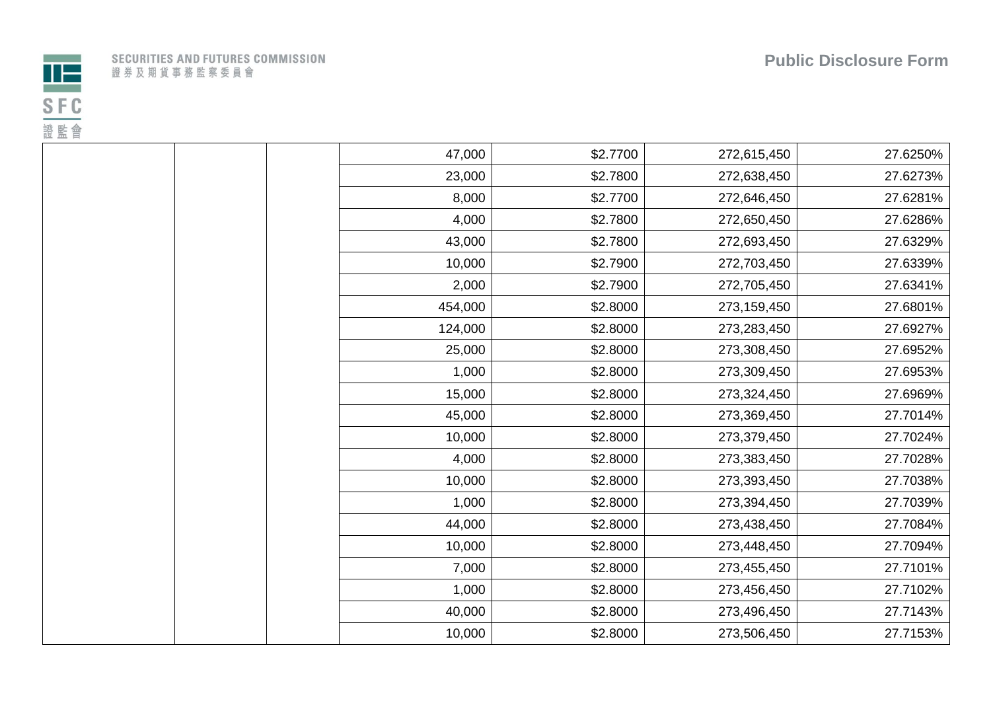



|  |  |  |                         |  |  | ECURITIES AND FUTURES COMMISSION |  |  |
|--|--|--|-------------------------|--|--|----------------------------------|--|--|
|  |  |  | 1 券 及 期 貨 事 務 監 察 委 員 會 |  |  |                                  |  |  |

| 47,000  | \$2.7700 | 272,615,450 | 27.6250% |
|---------|----------|-------------|----------|
| 23,000  | \$2.7800 | 272,638,450 | 27.6273% |
| 8,000   | \$2.7700 | 272,646,450 | 27.6281% |
| 4,000   | \$2.7800 | 272,650,450 | 27.6286% |
| 43,000  | \$2.7800 | 272,693,450 | 27.6329% |
| 10,000  | \$2.7900 | 272,703,450 | 27.6339% |
| 2,000   | \$2.7900 | 272,705,450 | 27.6341% |
| 454,000 | \$2.8000 | 273,159,450 | 27.6801% |
| 124,000 | \$2.8000 | 273,283,450 | 27.6927% |
| 25,000  | \$2.8000 | 273,308,450 | 27.6952% |
| 1,000   | \$2.8000 | 273,309,450 | 27.6953% |
| 15,000  | \$2.8000 | 273,324,450 | 27.6969% |
| 45,000  | \$2.8000 | 273,369,450 | 27.7014% |
| 10,000  | \$2.8000 | 273,379,450 | 27.7024% |
| 4,000   | \$2.8000 | 273,383,450 | 27.7028% |
| 10,000  | \$2.8000 | 273,393,450 | 27.7038% |
| 1,000   | \$2.8000 | 273,394,450 | 27.7039% |
| 44,000  | \$2.8000 | 273,438,450 | 27.7084% |
| 10,000  | \$2.8000 | 273,448,450 | 27.7094% |
| 7,000   | \$2.8000 | 273,455,450 | 27.7101% |
| 1,000   | \$2.8000 | 273,456,450 | 27.7102% |
| 40,000  | \$2.8000 | 273,496,450 | 27.7143% |
| 10,000  | \$2.8000 | 273,506,450 | 27.7153% |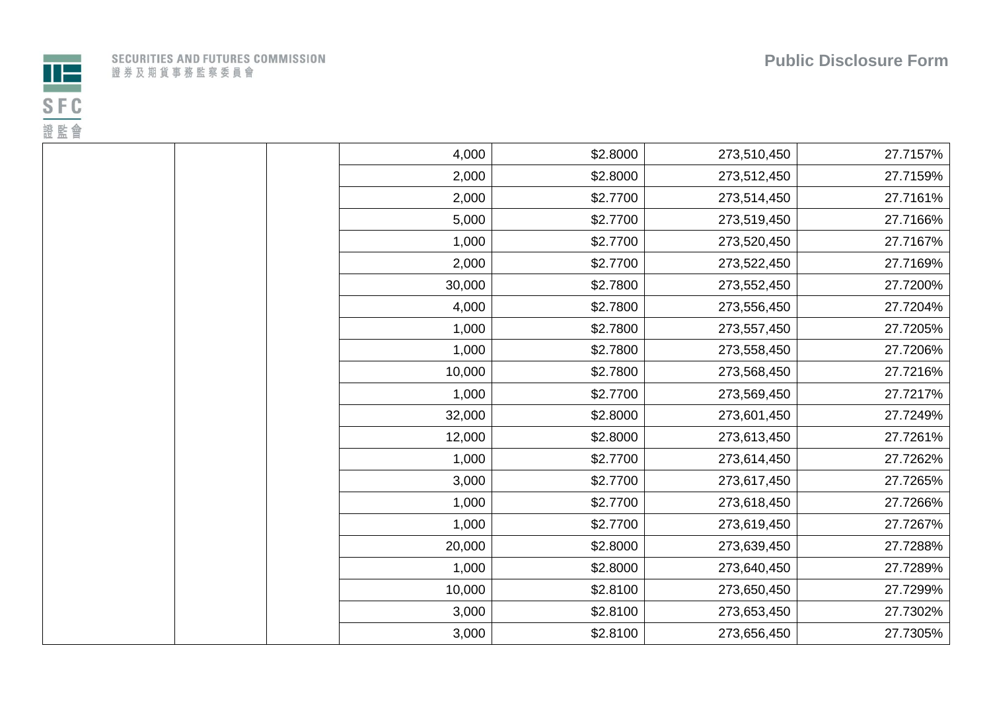

|  | SECURITIES AND FUTURES COMMISSION |  |  |  |  |  |  |  |  |  |  |
|--|-----------------------------------|--|--|--|--|--|--|--|--|--|--|
|  | 登 券 及 期 貨 事 務 監 察 委 員 會           |  |  |  |  |  |  |  |  |  |  |

| 4,000  | \$2.8000 | 273,510,450 | 27.7157% |
|--------|----------|-------------|----------|
| 2,000  | \$2.8000 | 273,512,450 | 27.7159% |
| 2,000  | \$2.7700 | 273,514,450 | 27.7161% |
| 5,000  | \$2.7700 | 273,519,450 | 27.7166% |
| 1,000  | \$2.7700 | 273,520,450 | 27.7167% |
| 2,000  | \$2.7700 | 273,522,450 | 27.7169% |
| 30,000 | \$2.7800 | 273,552,450 | 27.7200% |
| 4,000  | \$2.7800 | 273,556,450 | 27.7204% |
| 1,000  | \$2.7800 | 273,557,450 | 27.7205% |
| 1,000  | \$2.7800 | 273,558,450 | 27.7206% |
| 10,000 | \$2.7800 | 273,568,450 | 27.7216% |
| 1,000  | \$2.7700 | 273,569,450 | 27.7217% |
| 32,000 | \$2.8000 | 273,601,450 | 27.7249% |
| 12,000 | \$2.8000 | 273,613,450 | 27.7261% |
| 1,000  | \$2.7700 | 273,614,450 | 27.7262% |
| 3,000  | \$2.7700 | 273,617,450 | 27.7265% |
| 1,000  | \$2.7700 | 273,618,450 | 27.7266% |
| 1,000  | \$2.7700 | 273,619,450 | 27.7267% |
| 20,000 | \$2.8000 | 273,639,450 | 27.7288% |
| 1,000  | \$2.8000 | 273,640,450 | 27.7289% |
| 10,000 | \$2.8100 | 273,650,450 | 27.7299% |
| 3,000  | \$2.8100 | 273,653,450 | 27.7302% |
| 3,000  | \$2.8100 | 273,656,450 | 27.7305% |